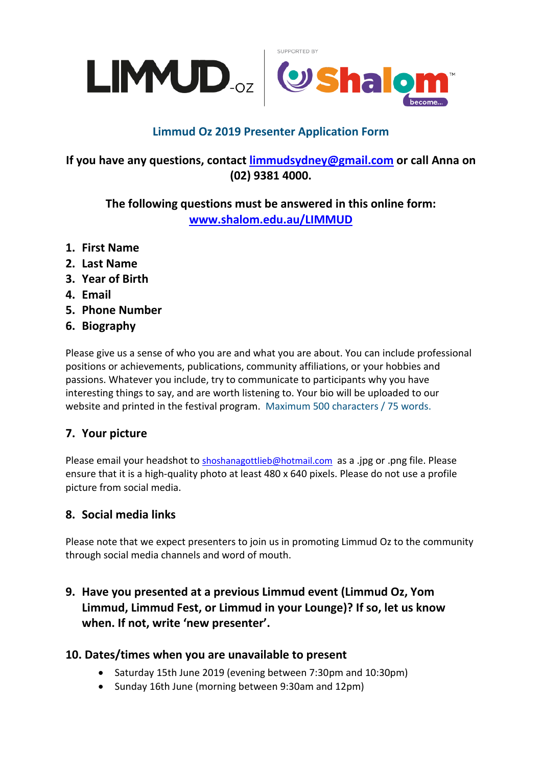



# **Limmud Oz 2019 Presenter Application Form**

## **If you have any questions, contact [limmudsydney@gmail.com](mailto:limmudsydney@gmail.com?subject=Limmud2019%20presenter%20registration%20query) or call Anna on (02) 9381 4000.**

**The following questions must be answered in this online form: [www.shalom.edu.au/LIMMUD](http://www.shalom.edu.au/LIMMUD)**

- **1. First Name**
- **2. Last Name**
- **3. Year of Birth**
- **4. Email**
- **5. Phone Number**
- **6. Biography**

Please give us a sense of who you are and what you are about. You can include professional positions or achievements, publications, community affiliations, or your hobbies and passions. Whatever you include, try to communicate to participants why you have interesting things to say, and are worth listening to. Your bio will be uploaded to our website and printed in the festival program. Maximum 500 characters / 75 words.

## **7. Your picture**

Please email your headshot to [shoshanagottlieb@hotmail.com](mailto:shoshanagottlieb@hotmail.com) as a .jpg or .png file. Please ensure that it is a high-quality photo at least 480 x 640 pixels. Please do not use a profile picture from social media.

## **8. Social media links**

Please note that we expect presenters to join us in promoting Limmud Oz to the community through social media channels and word of mouth.

## **9. Have you presented at a previous Limmud event (Limmud Oz, Yom Limmud, Limmud Fest, or Limmud in your Lounge)? If so, let us know when. If not, write 'new presenter'.**

#### **10. Dates/times when you are unavailable to present**

- Saturday 15th June 2019 (evening between 7:30pm and 10:30pm)
- Sunday 16th June (morning between 9:30am and 12pm)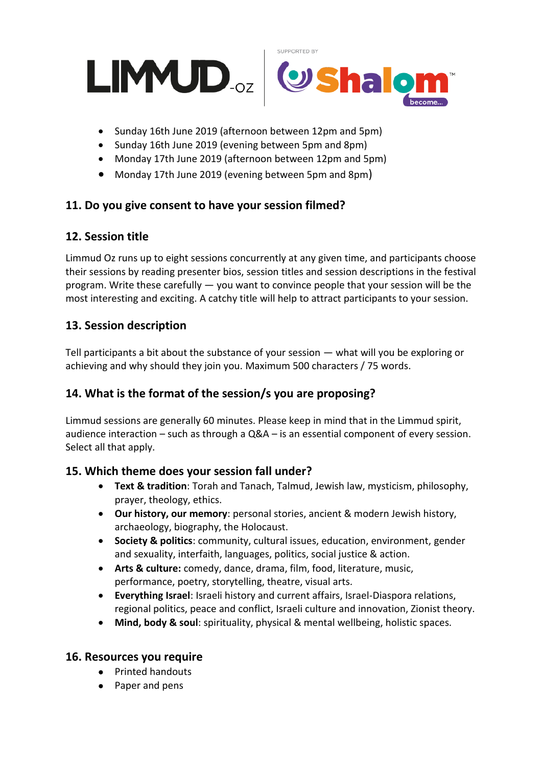



- Sunday 16th June 2019 (afternoon between 12pm and 5pm)
- Sunday 16th June 2019 (evening between 5pm and 8pm)
- Monday 17th June 2019 (afternoon between 12pm and 5pm)
- Monday 17th June 2019 (evening between 5pm and 8pm)

### **11. Do you give consent to have your session filmed?**

#### **12. Session title**

Limmud Oz runs up to eight sessions concurrently at any given time, and participants choose their sessions by reading presenter bios, session titles and session descriptions in the festival program. Write these carefully — you want to convince people that your session will be the most interesting and exciting. A catchy title will help to attract participants to your session.

### **13. Session description**

Tell participants a bit about the substance of your session — what will you be exploring or achieving and why should they join you. Maximum 500 characters / 75 words.

## **14. What is the format of the session/s you are proposing?**

Limmud sessions are generally 60 minutes. Please keep in mind that in the Limmud spirit, audience interaction – such as through a Q&A – is an essential component of every session. Select all that apply.

#### **15. Which theme does your session fall under?**

- **Text & tradition**: Torah and Tanach, Talmud, Jewish law, mysticism, philosophy, prayer, theology, ethics.
- **Our history, our memory**: personal stories, ancient & modern Jewish history, archaeology, biography, the Holocaust.
- **Society & politics**: community, cultural issues, education, environment, gender and sexuality, interfaith, languages, politics, social justice & action.
- **Arts & culture:** comedy, dance, drama, film, food, literature, music, performance, poetry, storytelling, theatre, visual arts.
- **Everything Israel**: Israeli history and current affairs, Israel-Diaspora relations, regional politics, peace and conflict, Israeli culture and innovation, Zionist theory.
- **Mind, body & soul**: spirituality, physical & mental wellbeing, holistic spaces.

#### **16. Resources you require**

- Printed handouts
- Paper and pens